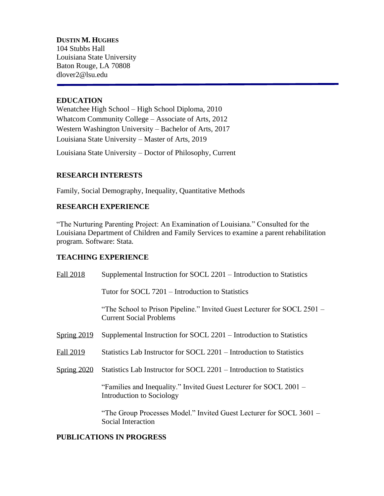**DUSTIN M. HUGHES** 104 Stubbs Hall Louisiana State University Baton Rouge, LA 70808 dlover2@lsu.edu

### **EDUCATION**

Wenatchee High School – High School Diploma, 2010 Whatcom Community College – Associate of Arts, 2012 Western Washington University – Bachelor of Arts, 2017 Louisiana State University – Master of Arts, 2019

Louisiana State University – Doctor of Philosophy, Current

### **RESEARCH INTERESTS**

Family, Social Demography, Inequality, Quantitative Methods

## **RESEARCH EXPERIENCE**

"The Nurturing Parenting Project: An Examination of Louisiana." Consulted for the Louisiana Department of Children and Family Services to examine a parent rehabilitation program. Software: Stata.

### **TEACHING EXPERIENCE**

| Fall 2018     | Supplemental Instruction for SOCL 2201 – Introduction to Statistics                                       |
|---------------|-----------------------------------------------------------------------------------------------------------|
|               | Tutor for SOCL 7201 – Introduction to Statistics                                                          |
|               | "The School to Prison Pipeline." Invited Guest Lecturer for SOCL 2501 –<br><b>Current Social Problems</b> |
| Spring 2019   | Supplemental Instruction for SOCL 2201 – Introduction to Statistics                                       |
| Fall 2019     | Statistics Lab Instructor for SOCL 2201 – Introduction to Statistics                                      |
| Spring $2020$ | Statistics Lab Instructor for SOCL 2201 – Introduction to Statistics                                      |
|               | "Families and Inequality." Invited Guest Lecturer for SOCL 2001 –<br>Introduction to Sociology            |
|               | "The Group Processes Model." Invited Guest Lecturer for SOCL 3601 –<br>Social Interaction                 |

### **PUBLICATIONS IN PROGRESS**